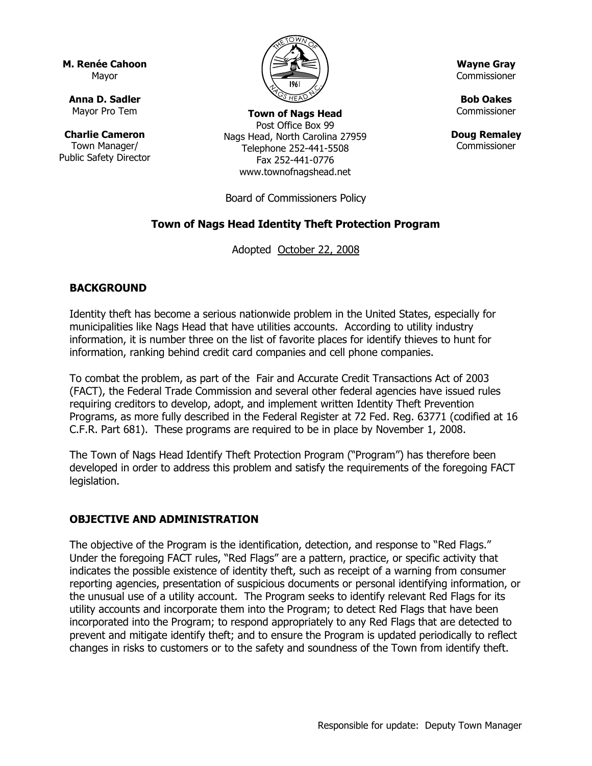**M. Renée Cahoon** Mayor

**Anna D. Sadler**  Mayor Pro Tem

**Charlie Cameron** Town Manager/ Public Safety Director



**Town of Nags Head** Post Office Box 99 Nags Head, North Carolina 27959 Telephone 252-441-5508 Fax 252-441-0776 www.townofnagshead.net

Board of Commissioners Policy

#### **Town of Nags Head Identity Theft Protection Program**

Adopted October 22, 2008

#### **BACKGROUND**

Identity theft has become a serious nationwide problem in the United States, especially for municipalities like Nags Head that have utilities accounts. According to utility industry information, it is number three on the list of favorite places for identify thieves to hunt for information, ranking behind credit card companies and cell phone companies.

To combat the problem, as part of the Fair and Accurate Credit Transactions Act of 2003 (FACT), the Federal Trade Commission and several other federal agencies have issued rules requiring creditors to develop, adopt, and implement written Identity Theft Prevention Programs, as more fully described in the Federal Register at 72 Fed. Reg. 63771 (codified at 16 C.F.R. Part 681). These programs are required to be in place by November 1, 2008.

The Town of Nags Head Identify Theft Protection Program ("Program") has therefore been developed in order to address this problem and satisfy the requirements of the foregoing FACT legislation.

#### **OBJECTIVE AND ADMINISTRATION**

The objective of the Program is the identification, detection, and response to "Red Flags." Under the foregoing FACT rules, "Red Flags" are a pattern, practice, or specific activity that indicates the possible existence of identity theft, such as receipt of a warning from consumer reporting agencies, presentation of suspicious documents or personal identifying information, or the unusual use of a utility account. The Program seeks to identify relevant Red Flags for its utility accounts and incorporate them into the Program; to detect Red Flags that have been incorporated into the Program; to respond appropriately to any Red Flags that are detected to prevent and mitigate identify theft; and to ensure the Program is updated periodically to reflect changes in risks to customers or to the safety and soundness of the Town from identify theft.

**Wayne Gray** Commissioner

**Bob Oakes** Commissioner

**Doug Remaley** Commissioner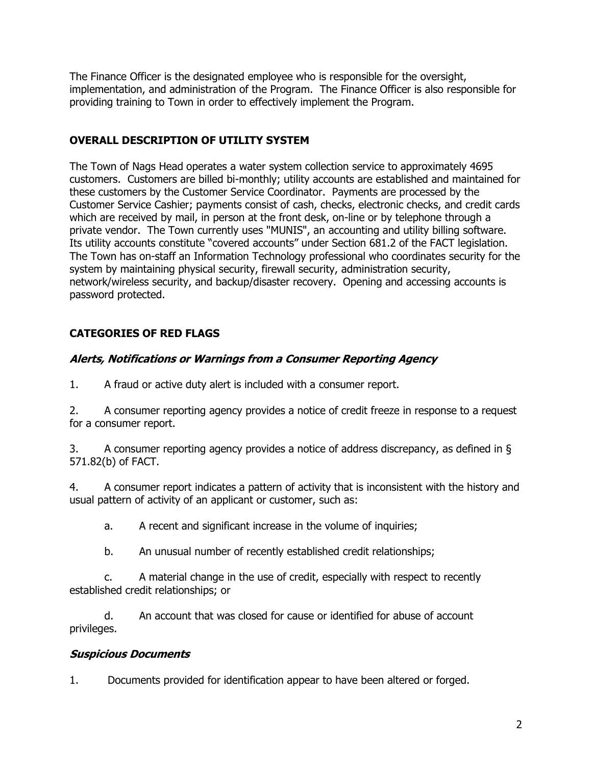The Finance Officer is the designated employee who is responsible for the oversight, implementation, and administration of the Program. The Finance Officer is also responsible for providing training to Town in order to effectively implement the Program.

## **OVERALL DESCRIPTION OF UTILITY SYSTEM**

The Town of Nags Head operates a water system collection service to approximately 4695 customers. Customers are billed bi-monthly; utility accounts are established and maintained for these customers by the Customer Service Coordinator. Payments are processed by the Customer Service Cashier; payments consist of cash, checks, electronic checks, and credit cards which are received by mail, in person at the front desk, on-line or by telephone through a private vendor. The Town currently uses "MUNIS", an accounting and utility billing software. Its utility accounts constitute "covered accounts" under Section 681.2 of the FACT legislation. The Town has on-staff an Information Technology professional who coordinates security for the system by maintaining physical security, firewall security, administration security, network/wireless security, and backup/disaster recovery. Opening and accessing accounts is password protected.

# **CATEGORIES OF RED FLAGS**

### **Alerts, Notifications or Warnings from a Consumer Reporting Agency**

1. A fraud or active duty alert is included with a consumer report.

2. A consumer reporting agency provides a notice of credit freeze in response to a request for a consumer report.

3. A consumer reporting agency provides a notice of address discrepancy, as defined in § 571.82(b) of FACT.

4. A consumer report indicates a pattern of activity that is inconsistent with the history and usual pattern of activity of an applicant or customer, such as:

a. A recent and significant increase in the volume of inquiries;

b. An unusual number of recently established credit relationships;

c. A material change in the use of credit, especially with respect to recently established credit relationships; or

d. An account that was closed for cause or identified for abuse of account privileges.

### **Suspicious Documents**

1. Documents provided for identification appear to have been altered or forged.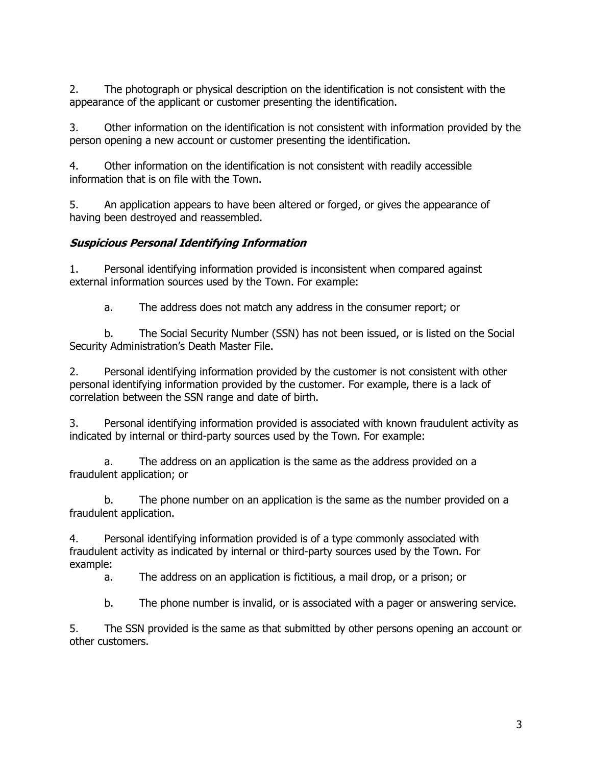2. The photograph or physical description on the identification is not consistent with the appearance of the applicant or customer presenting the identification.

3. Other information on the identification is not consistent with information provided by the person opening a new account or customer presenting the identification.

4. Other information on the identification is not consistent with readily accessible information that is on file with the Town.

5. An application appears to have been altered or forged, or gives the appearance of having been destroyed and reassembled.

### **Suspicious Personal Identifying Information**

1. Personal identifying information provided is inconsistent when compared against external information sources used by the Town. For example:

a. The address does not match any address in the consumer report; or

b. The Social Security Number (SSN) has not been issued, or is listed on the Social Security Administration's Death Master File.

2. Personal identifying information provided by the customer is not consistent with other personal identifying information provided by the customer. For example, there is a lack of correlation between the SSN range and date of birth.

3. Personal identifying information provided is associated with known fraudulent activity as indicated by internal or third-party sources used by the Town. For example:

a. The address on an application is the same as the address provided on a fraudulent application; or

b. The phone number on an application is the same as the number provided on a fraudulent application.

4. Personal identifying information provided is of a type commonly associated with fraudulent activity as indicated by internal or third-party sources used by the Town. For example:

a. The address on an application is fictitious, a mail drop, or a prison; or

b. The phone number is invalid, or is associated with a pager or answering service.

5. The SSN provided is the same as that submitted by other persons opening an account or other customers.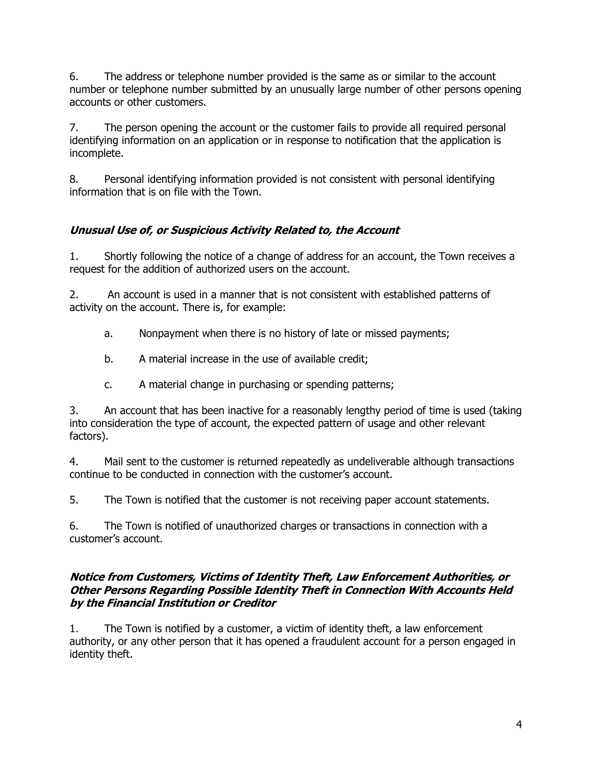6. The address or telephone number provided is the same as or similar to the account number or telephone number submitted by an unusually large number of other persons opening accounts or other customers.

7. The person opening the account or the customer fails to provide all required personal identifying information on an application or in response to notification that the application is incomplete.

8. Personal identifying information provided is not consistent with personal identifying information that is on file with the Town.

### **Unusual Use of, or Suspicious Activity Related to, the Account**

1. Shortly following the notice of a change of address for an account, the Town receives a request for the addition of authorized users on the account.

2. An account is used in a manner that is not consistent with established patterns of activity on the account. There is, for example:

- a. Nonpayment when there is no history of late or missed payments;
- b. A material increase in the use of available credit;
- c. A material change in purchasing or spending patterns;

3. An account that has been inactive for a reasonably lengthy period of time is used (taking into consideration the type of account, the expected pattern of usage and other relevant factors).

4. Mail sent to the customer is returned repeatedly as undeliverable although transactions continue to be conducted in connection with the customer's account.

5. The Town is notified that the customer is not receiving paper account statements.

6. The Town is notified of unauthorized charges or transactions in connection with a customer's account.

#### **Notice from Customers, Victims of Identity Theft, Law Enforcement Authorities, or Other Persons Regarding Possible Identity Theft in Connection With Accounts Held by the Financial Institution or Creditor**

1. The Town is notified by a customer, a victim of identity theft, a law enforcement authority, or any other person that it has opened a fraudulent account for a person engaged in identity theft.